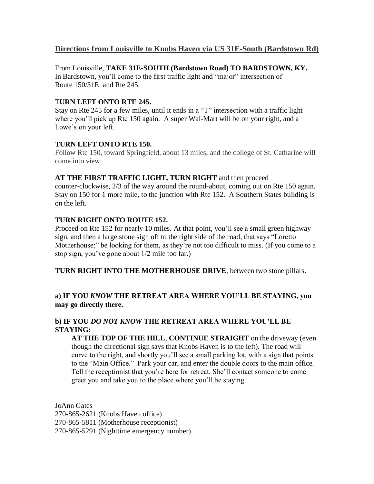# **Directions from Louisville to Knobs Haven via US 31E-South (Bardstown Rd)**

From Louisville, **TAKE 31E-SOUTH (Bardstown Road) TO BARDSTOWN, KY.**  In Bardstown, you'll come to the first traffic light and "major" intersection of Route 150/31E and Rte 245.

### T**URN LEFT ONTO RTE 245.**

Stay on Rte 245 for a few miles, until it ends in a "T" intersection with a traffic light where you'll pick up Rte 150 again. A super Wal-Mart will be on your right, and a Lowe's on your left.

#### **TURN LEFT ONTO RTE 150.**

Follow Rte 150, toward Springfield, about 13 miles, and the college of St. Catharine will come into view.

#### **AT THE FIRST TRAFFIC LIGHT, TURN RIGHT** and then proceed

counter-clockwise, 2/3 of the way around the round-about, coming out on Rte 150 again. Stay on 150 for 1 more mile, to the junction with Rte 152. A Southern States building is on the left.

#### **TURN RIGHT ONTO ROUTE 152.**

Proceed on Rte 152 for nearly 10 miles. At that point, you'll see a small green highway sign, and then a large stone sign off to the right side of the road, that says "Loretto Motherhouse;" be looking for them, as they're not too difficult to miss. (If you come to a stop sign, you've gone about 1/2 mile too far.)

**TURN RIGHT INTO THE MOTHERHOUSE DRIVE**, between two stone pillars.

## **a) IF YOU** *KNOW* **THE RETREAT AREA WHERE YOU'LL BE STAYING, you may go directly there.**

## **b) IF YOU** *DO NOT KNOW* **THE RETREAT AREA WHERE YOU'LL BE STAYING:**

**AT THE TOP OF THE HILL**, **CONTINUE STRAIGHT** on the driveway (even though the directional sign says that Knobs Haven is to the left). The road will curve to the right, and shortly you'll see a small parking lot, with a sign that points to the "Main Office." Park your car, and enter the double doors to the main office. Tell the receptionist that you're here for retreat. She'll contact someone to come greet you and take you to the place where you'll be staying.

JoAnn Gates 270-865-2621 (Knobs Haven office) 270-865-5811 (Motherhouse receptionist) 270-865-5291 (Nighttime emergency number)